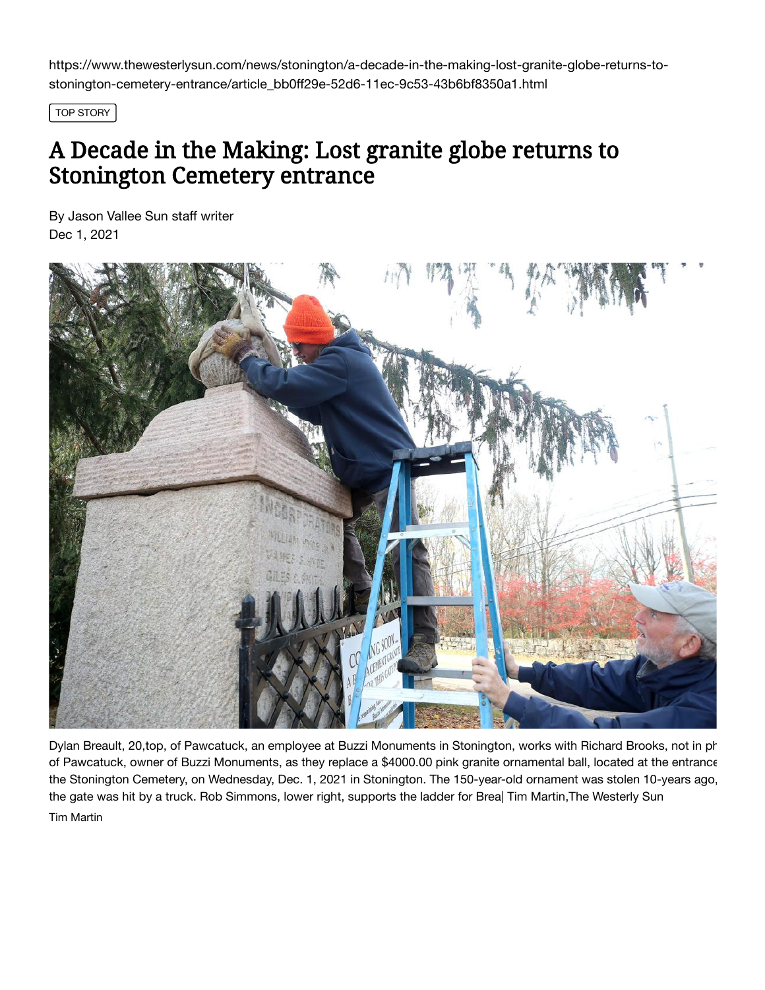https://www.thewesterlysun.com/news/stonington/a-decade-in-the-making-lost-granite-globe-returns-tostonington-cemetery-entrance/article\_bb0ff29e-52d6-11ec-9c53-43b6bf8350a1.html

TOP STORY

## A Decade in the Making: Lost granite globe returns to Stonington Cemetery entrance

[By Jason](https://www.thewesterlysun.com/users/profile/Jason%20Vallee) Vallee Sun staff writer Dec 1, 2021



Dylan Breault, 20,top, of Pawcatuck, an employee at Buzzi Monuments in Stonington, works with Richard Brooks, not in ph of Pawcatuck, owner of Buzzi Monuments, as they replace a \$4000.00 pink granite ornamental ball, located at the entrance the Stonington Cemetery, on Wednesday, Dec. 1, 2021 in Stonington. The 150-year-old ornament was stolen 10-years ago, the gate was hit by a truck. Rob Simmons, lower right, supports the ladder for Brea| Tim Martin,The Westerly Sun Tim Martin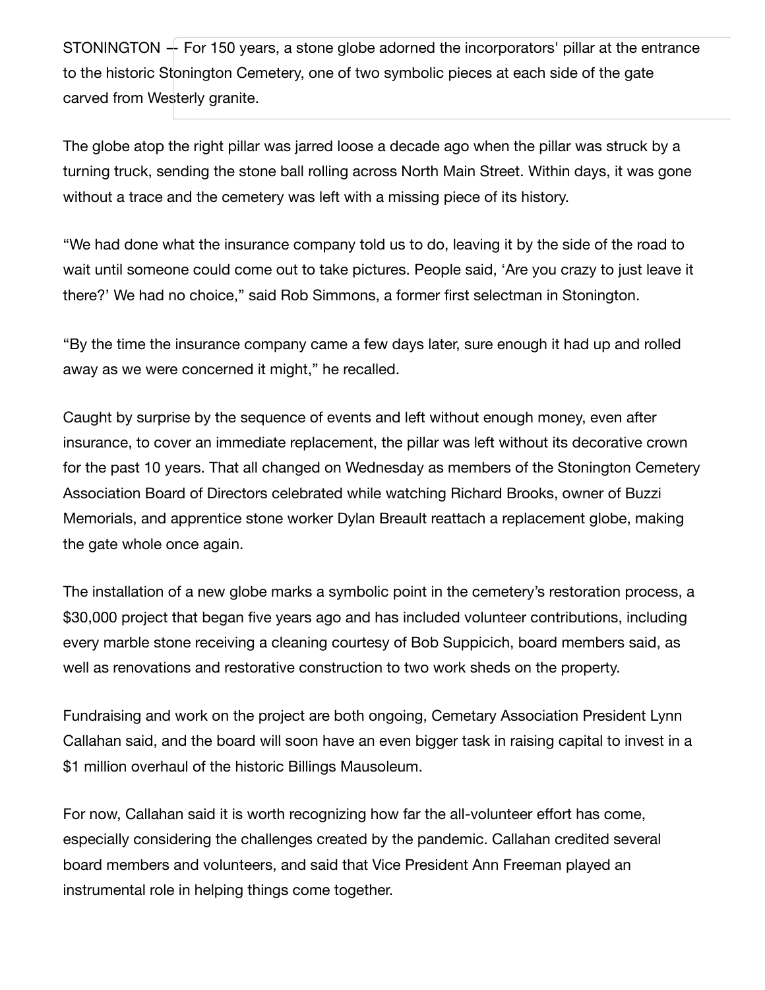STONINGTON — For 150 years, a stone globe adorned the incorporators' pillar at the entrance to the historic Stonington Cemetery, one of two symbolic pieces at each side of the gate carved from Westerly granite.

The globe atop the right pillar was jarred loose a decade ago when the pillar was struck by a turning truck, sending the stone ball rolling across North Main Street. Within days, it was gone without a trace and the cemetery was left with a missing piece of its history.

"We had done what the insurance company told us to do, leaving it by the side of the road to wait until someone could come out to take pictures. People said, 'Are you crazy to just leave it there?' We had no choice," said Rob Simmons, a former first selectman in Stonington.

"By the time the insurance company came a few days later, sure enough it had up and rolled away as we were concerned it might," he recalled.

Caught by surprise by the sequence of events and left without enough money, even after insurance, to cover an immediate replacement, the pillar was left without its decorative crown for the past 10 years. That all changed on Wednesday as members of the Stonington Cemetery Association Board of Directors celebrated while watching Richard Brooks, owner of Buzzi Memorials, and apprentice stone worker Dylan Breault reattach a replacement globe, making the gate whole once again.

The installation of a new globe marks a symbolic point in the cemetery's restoration process, a \$30,000 project that began five years ago and has included volunteer contributions, including every marble stone receiving a cleaning courtesy of Bob Suppicich, board members said, as well as renovations and restorative construction to two work sheds on the property.

Fundraising and work on the project are both ongoing, Cemetary Association President Lynn Callahan said, and the board will soon have an even bigger task in raising capital to invest in a \$1 million overhaul of the historic Billings Mausoleum.

For now, Callahan said it is worth recognizing how far the all-volunteer effort has come, especially considering the challenges created by the pandemic. Callahan credited several board members and volunteers, and said that Vice President Ann Freeman played an instrumental role in helping things come together.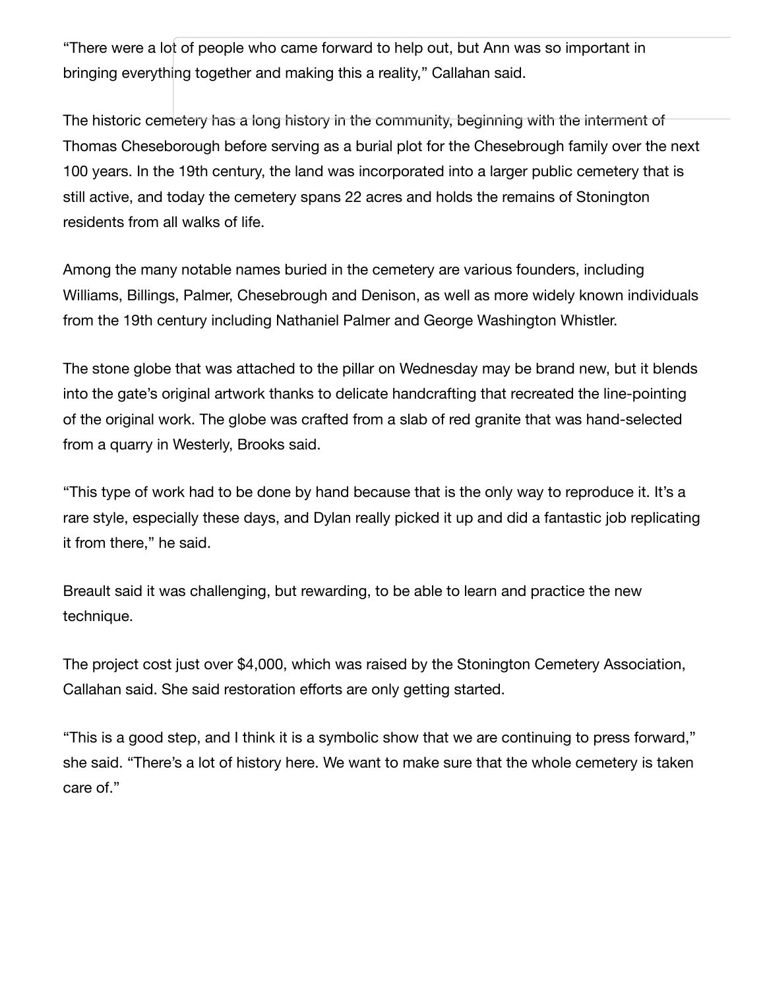"There were a lot of people who came forward to help out, but Ann was so important in bringing everything together and making this a reality," Callahan said.

The historic cemetery has a long history in the community, beginning with the interment of Thomas Cheseborough before serving as a burial plot for the Chesebrough family over the next 100 years. In the 19th century, the land was incorporated into a larger public cemetery that is still active, and today the cemetery spans 22 acres and holds the remains of Stonington residents from all walks of life.

Among the many notable names buried in the cemetery are various founders, including Williams, Billings, Palmer, Chesebrough and Denison, as well as more widely known individuals from the 19th century including Nathaniel Palmer and George Washington Whistler.

The stone globe that was attached to the pillar on Wednesday may be brand new, but it blends into the gate's original artwork thanks to delicate handcrafting that recreated the line-pointing of the original work. The globe was crafted from a slab of red granite that was hand-selected from a quarry in Westerly, Brooks said.

"This type of work had to be done by hand because that is the only way to reproduce it. It's a rare style, especially these days, and Dylan really picked it up and did a fantastic job replicating it from there," he said.

Breault said it was challenging, but rewarding, to be able to learn and practice the new technique.

The project cost just over \$4,000, which was raised by the Stonington Cemetery Association, Callahan said. She said restoration efforts are only getting started.

"This is a good step, and I think it is a symbolic show that we are continuing to press forward," she said. "There's a lot of history here. We want to make sure that the whole cemetery is taken care of."